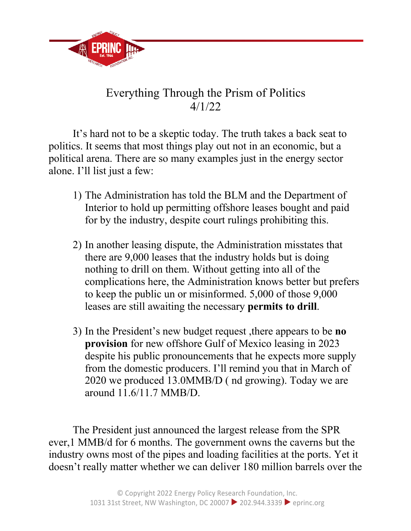

## Everything Through the Prism of Politics 4/1/22

It's hard not to be a skeptic today. The truth takes a back seat to politics. It seems that most things play out not in an economic, but a political arena. There are so many examples just in the energy sector alone. I'll list just a few:

- 1) The Administration has told the BLM and the Department of Interior to hold up permitting offshore leases bought and paid for by the industry, despite court rulings prohibiting this.
- 2) In another leasing dispute, the Administration misstates that there are 9,000 leases that the industry holds but is doing nothing to drill on them. Without getting into all of the complications here, the Administration knows better but prefers to keep the public un or misinformed. 5,000 of those 9,000 leases are still awaiting the necessary **permits to drill**.
- 3) In the President's new budget request ,there appears to be **no provision** for new offshore Gulf of Mexico leasing in 2023 despite his public pronouncements that he expects more supply from the domestic producers. I'll remind you that in March of 2020 we produced 13.0MMB/D ( nd growing). Today we are around 11.6/11.7 MMB/D.

The President just announced the largest release from the SPR ever,1 MMB/d for 6 months. The government owns the caverns but the industry owns most of the pipes and loading facilities at the ports. Yet it doesn't really matter whether we can deliver 180 million barrels over the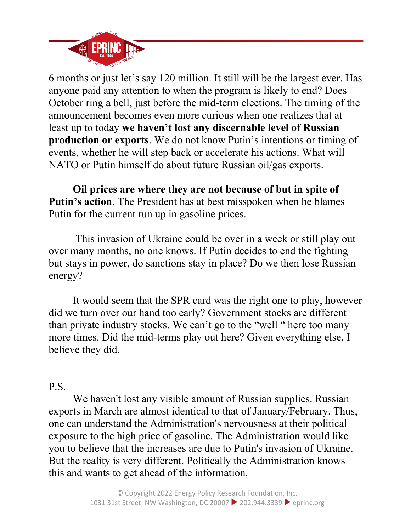

6 months or just let's say 120 million. It still will be the largest ever. Has anyone paid any attention to when the program is likely to end? Does October ring a bell, just before the mid-term elections. The timing of the announcement becomes even more curious when one realizes that at least up to today **we haven't lost any discernable level of Russian production or exports**. We do not know Putin's intentions or timing of events, whether he will step back or accelerate his actions. What will NATO or Putin himself do about future Russian oil/gas exports.

**Oil prices are where they are not because of but in spite of Putin's action**. The President has at best misspoken when he blames Putin for the current run up in gasoline prices.

This invasion of Ukraine could be over in a week or still play out over many months, no one knows. If Putin decides to end the fighting but stays in power, do sanctions stay in place? Do we then lose Russian energy?

It would seem that the SPR card was the right one to play, however did we turn over our hand too early? Government stocks are different than private industry stocks. We can't go to the "well " here too many more times. Did the mid-terms play out here? Given everything else, I believe they did.

## P.S.

We haven't lost any visible amount of Russian supplies. Russian exports in March are almost identical to that of January/February. Thus, one can understand the Administration's nervousness at their political exposure to the high price of gasoline. The Administration would like you to believe that the increases are due to Putin's invasion of Ukraine. But the reality is very different. Politically the Administration knows this and wants to get ahead of the information.